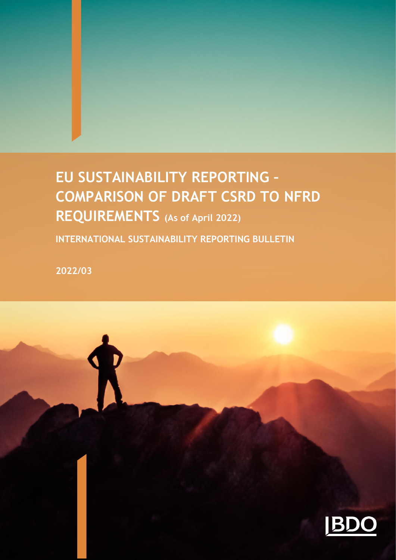# **EU SUSTAINABILITY REPORTING – COMPARISON OF DRAFT CSRD TO NFRD REQUIREMENTS (As of April 2022)**

1 ISRB 2022/03 ISSB EU Sustainability Reporting – Comparison of Draft CSRD to NFRD

**INTERNATIONAL SUSTAINABILITY REPORTING BULLETIN** 

**2022/03**

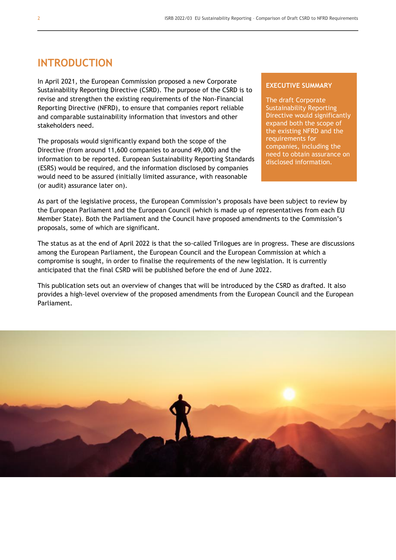### **INTRODUCTION**

In April 2021, the European Commission proposed a new Corporate Sustainability Reporting Directive (CSRD). The purpose of the CSRD is to revise and strengthen the existing requirements of the Non-Financial Reporting Directive (NFRD), to ensure that companies report reliable and comparable sustainability information that investors and other stakeholders need.

The proposals would significantly expand both the scope of the Directive (from around 11,600 companies to around 49,000) and the information to be reported. European Sustainability Reporting Standards (ESRS) would be required, and the information disclosed by companies would need to be assured (initially limited assurance, with reasonable (or audit) assurance later on).

#### **EXECUTIVE SUMMARY**

The draft Corporate Sustainability Reporting Directive would significantly expand both the scope of the existing NFRD and the requirements for companies, including the need to obtain assurance on disclosed information.

As part of the legislative process, the European Commission's proposals have been subject to review by the European Parliament and the European Council (which is made up of representatives from each EU Member State). Both the Parliament and the Council have proposed amendments to the Commission's proposals, some of which are significant.

The status as at the end of April 2022 is that the so-called Trilogues are in progress. These are discussions among the European Parliament, the European Council and the European Commission at which a compromise is sought, in order to finalise the requirements of the new legislation. It is currently anticipated that the final CSRD will be published before the end of June 2022.

This publication sets out an overview of changes that will be introduced by the CSRD as drafted. It also provides a high-level overview of the proposed amendments from the European Council and the European Parliament.

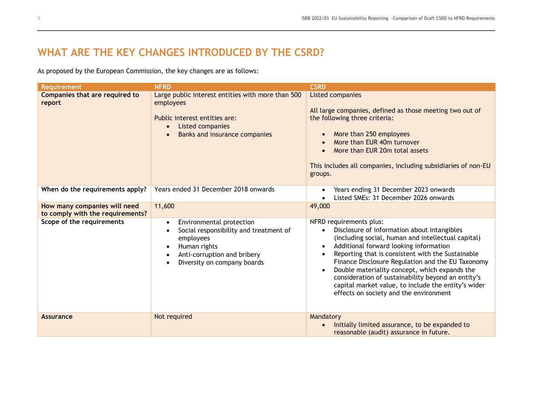# **WHAT ARE THE KEY CHANGES INTRODUCED BY THE CSRD?**

As proposed by the European Commission, the key changes are as follows:

| <b>Requirement</b>                                               | <b>NFRD</b>                                                                                                                                                                                                       | <b>CSRD</b>                                                                                                                                                                                                                                                                                                                                                                                                                                                                                                                                  |
|------------------------------------------------------------------|-------------------------------------------------------------------------------------------------------------------------------------------------------------------------------------------------------------------|----------------------------------------------------------------------------------------------------------------------------------------------------------------------------------------------------------------------------------------------------------------------------------------------------------------------------------------------------------------------------------------------------------------------------------------------------------------------------------------------------------------------------------------------|
| Companies that are required to<br>report                         | Large public interest entities with more than 500<br>employees<br>Public interest entities are:<br>Listed companies<br>$\bullet$<br>Banks and insurance companies<br>$\bullet$                                    | <b>Listed companies</b><br>All large companies, defined as those meeting two out of<br>the following three criteria:<br>More than 250 employees<br>$\bullet$<br>More than EUR 40m turnover<br>$\bullet$<br>More than EUR 20m total assets<br>$\bullet$<br>This includes all companies, including subsidiaries of non-EU<br>groups.                                                                                                                                                                                                           |
| When do the requirements apply?                                  | Years ended 31 December 2018 onwards                                                                                                                                                                              | Years ending 31 December 2023 onwards<br>$\bullet$<br>Listed SMEs: 31 December 2026 onwards                                                                                                                                                                                                                                                                                                                                                                                                                                                  |
| How many companies will need<br>to comply with the requirements? | 11,600                                                                                                                                                                                                            | 49,000                                                                                                                                                                                                                                                                                                                                                                                                                                                                                                                                       |
| Scope of the requirements                                        | Environmental protection<br>$\bullet$<br>Social responsibility and treatment of<br>$\bullet$<br>employees<br>Human rights<br>$\bullet$<br>Anti-corruption and bribery<br>$\bullet$<br>Diversity on company boards | NFRD requirements plus:<br>Disclosure of information about intangibles<br>$\bullet$<br>(including social, human and intellectual capital)<br>Additional forward looking information<br>$\bullet$<br>Reporting that is consistent with the Sustainable<br>$\bullet$<br>Finance Disclosure Regulation and the EU Taxonomy<br>Double materiality concept, which expands the<br>$\bullet$<br>consideration of sustainability beyond an entity's<br>capital market value, to include the entity's wider<br>effects on society and the environment |
| <b>Assurance</b>                                                 | Not required                                                                                                                                                                                                      | Mandatory<br>Initially limited assurance, to be expanded to<br>$\bullet$<br>reasonable (audit) assurance in future.                                                                                                                                                                                                                                                                                                                                                                                                                          |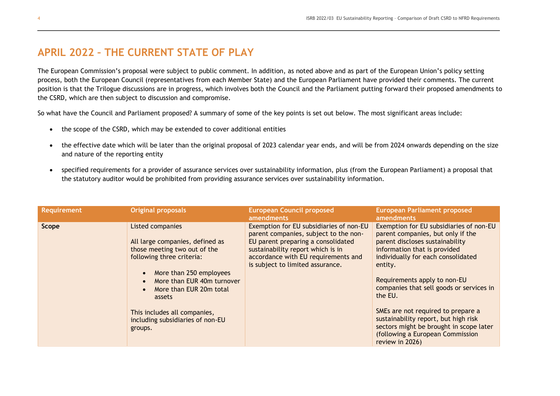## **APRIL 2022 – THE CURRENT STATE OF PLAY**

The European Commission's proposal were subject to public comment. In addition, as noted above and as part of the European Union's policy setting process, both the European Council (representatives from each Member State) and the European Parliament have provided their comments. The current position is that the Trilogue discussions are in progress, which involves both the Council and the Parliament putting forward their proposed amendments to the CSRD, which are then subject to discussion and compromise.

So what have the Council and Parliament proposed? A summary of some of the key points is set out below. The most significant areas include:

- the scope of the CSRD, which may be extended to cover additional entities
- the effective date which will be later than the original proposal of 2023 calendar year ends, and will be from 2024 onwards depending on the size and nature of the reporting entity
- specified requirements for a provider of assurance services over sustainability information, plus (from the European Parliament) a proposal that the statutory auditor would be prohibited from providing assurance services over sustainability information.

| <b>Requirement</b> | <b>Original proposals</b>                                                                                                                                                                                                                                                                                  | <b>European Council proposed</b><br><b>amendments</b>                                                                                                                                                                                  | <b>European Parliament proposed</b><br>amendments                                                                                                                                                                                                                                                                                                                                                                                                                       |
|--------------------|------------------------------------------------------------------------------------------------------------------------------------------------------------------------------------------------------------------------------------------------------------------------------------------------------------|----------------------------------------------------------------------------------------------------------------------------------------------------------------------------------------------------------------------------------------|-------------------------------------------------------------------------------------------------------------------------------------------------------------------------------------------------------------------------------------------------------------------------------------------------------------------------------------------------------------------------------------------------------------------------------------------------------------------------|
| Scope              | Listed companies<br>All large companies, defined as<br>those meeting two out of the<br>following three criteria:<br>More than 250 employees<br>More than EUR 40m turnover<br>More than EUR 20m total<br>$\bullet$<br>assets<br>This includes all companies,<br>including subsidiaries of non-EU<br>groups. | Exemption for EU subsidiaries of non-EU<br>parent companies, subject to the non-<br>EU parent preparing a consolidated<br>sustainability report which is in<br>accordance with EU requirements and<br>is subject to limited assurance. | Exemption for EU subsidiaries of non-EU<br>parent companies, but only if the<br>parent discloses sustainability<br>information that is provided<br>individually for each consolidated<br>entity.<br>Requirements apply to non-EU<br>companies that sell goods or services in<br>the EU.<br>SMEs are not required to prepare a<br>sustainability report, but high risk<br>sectors might be brought in scope later<br>(following a European Commission<br>review in 2026) |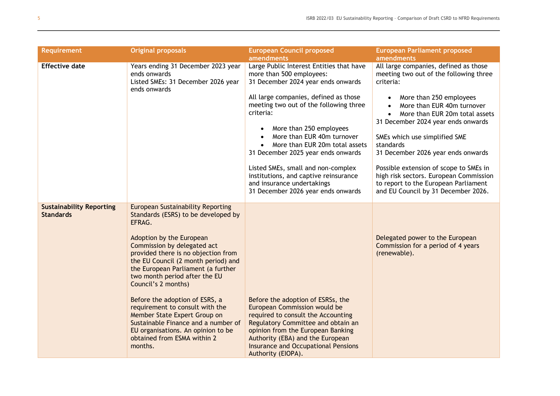| <b>Requirement</b>                                  | <b>Original proposals</b>                                                                                                                                                                                                                                                                                                                                                                                                                                                                                                                                    | <b>European Council proposed</b><br><b>amendments</b>                                                                                                                                                                                                                                                                                                                                                                                                                                                       | <b>European Parliament proposed</b><br>amendments                                                                                                                                                                                                                                                                                                                                                                                                                                    |
|-----------------------------------------------------|--------------------------------------------------------------------------------------------------------------------------------------------------------------------------------------------------------------------------------------------------------------------------------------------------------------------------------------------------------------------------------------------------------------------------------------------------------------------------------------------------------------------------------------------------------------|-------------------------------------------------------------------------------------------------------------------------------------------------------------------------------------------------------------------------------------------------------------------------------------------------------------------------------------------------------------------------------------------------------------------------------------------------------------------------------------------------------------|--------------------------------------------------------------------------------------------------------------------------------------------------------------------------------------------------------------------------------------------------------------------------------------------------------------------------------------------------------------------------------------------------------------------------------------------------------------------------------------|
| <b>Effective date</b>                               | Years ending 31 December 2023 year<br>ends onwards<br>Listed SMEs: 31 December 2026 year<br>ends onwards                                                                                                                                                                                                                                                                                                                                                                                                                                                     | Large Public Interest Entities that have<br>more than 500 employees:<br>31 December 2024 year ends onwards<br>All large companies, defined as those<br>meeting two out of the following three<br>criteria:<br>More than 250 employees<br>More than EUR 40m turnover<br>More than EUR 20m total assets<br>$\bullet$<br>31 December 2025 year ends onwards<br>Listed SMEs, small and non-complex<br>institutions, and captive reinsurance<br>and insurance undertakings<br>31 December 2026 year ends onwards | All large companies, defined as those<br>meeting two out of the following three<br>criteria:<br>More than 250 employees<br>More than EUR 40m turnover<br>More than EUR 20m total assets<br>31 December 2024 year ends onwards<br>SMEs which use simplified SME<br>standards<br>31 December 2026 year ends onwards<br>Possible extension of scope to SMEs in<br>high risk sectors. European Commission<br>to report to the European Parliament<br>and EU Council by 31 December 2026. |
| <b>Sustainability Reporting</b><br><b>Standards</b> | <b>European Sustainability Reporting</b><br>Standards (ESRS) to be developed by<br>EFRAG.<br>Adoption by the European<br>Commission by delegated act<br>provided there is no objection from<br>the EU Council (2 month period) and<br>the European Parliament (a further<br>two month period after the EU<br>Council's 2 months)<br>Before the adoption of ESRS, a<br>requirement to consult with the<br>Member State Expert Group on<br>Sustainable Finance and a number of<br>EU organisations. An opinion to be<br>obtained from ESMA within 2<br>months. | Before the adoption of ESRSs, the<br>European Commission would be<br>required to consult the Accounting<br>Regulatory Committee and obtain an<br>opinion from the European Banking<br>Authority (EBA) and the European<br><b>Insurance and Occupational Pensions</b><br>Authority (EIOPA).                                                                                                                                                                                                                  | Delegated power to the European<br>Commission for a period of 4 years<br>(renewable).                                                                                                                                                                                                                                                                                                                                                                                                |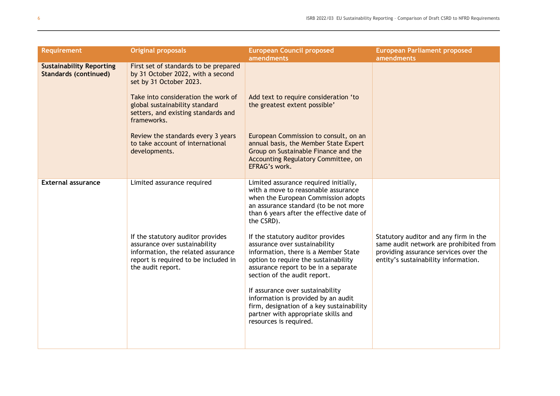| <b>Requirement</b>                                              | <b>Original proposals</b>                                                                                                                                                                                                                                                                                                       | <b>European Council proposed</b><br><b>amendments</b>                                                                                                                                                                                                                                                                                                                                                                                                                                                                                                                                                                                         | <b>European Parliament proposed</b><br>amendments                                                                                                                |
|-----------------------------------------------------------------|---------------------------------------------------------------------------------------------------------------------------------------------------------------------------------------------------------------------------------------------------------------------------------------------------------------------------------|-----------------------------------------------------------------------------------------------------------------------------------------------------------------------------------------------------------------------------------------------------------------------------------------------------------------------------------------------------------------------------------------------------------------------------------------------------------------------------------------------------------------------------------------------------------------------------------------------------------------------------------------------|------------------------------------------------------------------------------------------------------------------------------------------------------------------|
| <b>Sustainability Reporting</b><br><b>Standards (continued)</b> | First set of standards to be prepared<br>by 31 October 2022, with a second<br>set by 31 October 2023.<br>Take into consideration the work of<br>global sustainability standard<br>setters, and existing standards and<br>frameworks.<br>Review the standards every 3 years<br>to take account of international<br>developments. | Add text to require consideration 'to<br>the greatest extent possible'<br>European Commission to consult, on an<br>annual basis, the Member State Expert<br>Group on Sustainable Finance and the<br>Accounting Regulatory Committee, on<br>EFRAG's work.                                                                                                                                                                                                                                                                                                                                                                                      |                                                                                                                                                                  |
| <b>External assurance</b>                                       | Limited assurance required<br>If the statutory auditor provides<br>assurance over sustainability<br>information, the related assurance<br>report is required to be included in<br>the audit report.                                                                                                                             | Limited assurance required initially,<br>with a move to reasonable assurance<br>when the European Commission adopts<br>an assurance standard (to be not more<br>than 6 years after the effective date of<br>the CSRD).<br>If the statutory auditor provides<br>assurance over sustainability<br>information, there is a Member State<br>option to require the sustainability<br>assurance report to be in a separate<br>section of the audit report.<br>If assurance over sustainability<br>information is provided by an audit<br>firm, designation of a key sustainability<br>partner with appropriate skills and<br>resources is required. | Statutory auditor and any firm in the<br>same audit network are prohibited from<br>providing assurance services over the<br>entity's sustainability information. |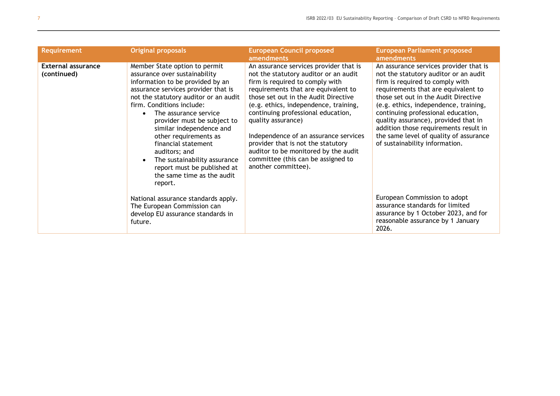| <b>Requirement</b>                | <b>Original proposals</b>                                                                                                                                                                                                                                                                                                                                                                                                                                                    | <b>European Council proposed</b><br>amendments                                                                                                                                                                                                                                                                                                                                                                                                                                             | <b>European Parliament proposed</b><br>amendments                                                                                                                                                                                                                                                                                                                                                                                             |
|-----------------------------------|------------------------------------------------------------------------------------------------------------------------------------------------------------------------------------------------------------------------------------------------------------------------------------------------------------------------------------------------------------------------------------------------------------------------------------------------------------------------------|--------------------------------------------------------------------------------------------------------------------------------------------------------------------------------------------------------------------------------------------------------------------------------------------------------------------------------------------------------------------------------------------------------------------------------------------------------------------------------------------|-----------------------------------------------------------------------------------------------------------------------------------------------------------------------------------------------------------------------------------------------------------------------------------------------------------------------------------------------------------------------------------------------------------------------------------------------|
| External assurance<br>(continued) | Member State option to permit<br>assurance over sustainability<br>information to be provided by an<br>assurance services provider that is<br>not the statutory auditor or an audit<br>firm. Conditions include:<br>The assurance service<br>provider must be subject to<br>similar independence and<br>other requirements as<br>financial statement<br>auditors; and<br>The sustainability assurance<br>report must be published at<br>the same time as the audit<br>report. | An assurance services provider that is<br>not the statutory auditor or an audit<br>firm is required to comply with<br>requirements that are equivalent to<br>those set out in the Audit Directive<br>(e.g. ethics, independence, training,<br>continuing professional education,<br>quality assurance)<br>Independence of an assurance services<br>provider that is not the statutory<br>auditor to be monitored by the audit<br>committee (this can be assigned to<br>another committee). | An assurance services provider that is<br>not the statutory auditor or an audit<br>firm is required to comply with<br>requirements that are equivalent to<br>those set out in the Audit Directive<br>(e.g. ethics, independence, training,<br>continuing professional education,<br>quality assurance), provided that in<br>addition those requirements result in<br>the same level of quality of assurance<br>of sustainability information. |
|                                   | National assurance standards apply.<br>The European Commission can<br>develop EU assurance standards in<br>future.                                                                                                                                                                                                                                                                                                                                                           |                                                                                                                                                                                                                                                                                                                                                                                                                                                                                            | European Commission to adopt<br>assurance standards for limited<br>assurance by 1 October 2023, and for<br>reasonable assurance by 1 January<br>2026.                                                                                                                                                                                                                                                                                         |